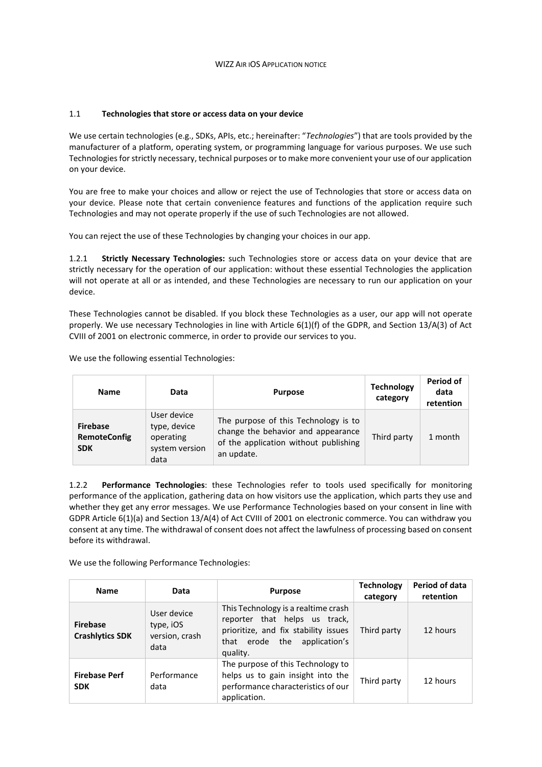## 1.1 **Technologies that store or access data on your device**

We use certain technologies (e.g., SDKs, APIs, etc.; hereinafter: "*Technologies*") that are tools provided by the manufacturer of a platform, operating system, or programming language for various purposes. We use such Technologies for strictly necessary, technical purposes or to make more convenient your use of our application on your device.

You are free to make your choices and allow or reject the use of Technologies that store or access data on your device. Please note that certain convenience features and functions of the application require such Technologies and may not operate properly if the use of such Technologies are not allowed.

You can reject the use of these Technologies by changing your choices in our app.

1.2.1 **Strictly Necessary Technologies:** such Technologies store or access data on your device that are strictly necessary for the operation of our application: without these essential Technologies the application will not operate at all or as intended, and these Technologies are necessary to run our application on your device.

These Technologies cannot be disabled. If you block these Technologies as a user, our app will not operate properly. We use necessary Technologies in line with Article 6(1)(f) of the GDPR, and Section 13/A(3) of Act CVIII of 2001 on electronic commerce, in order to provide our services to you.

We use the following essential Technologies:

| <b>Name</b>                                          | Data                                                               | <b>Purpose</b>                                                                                                                    | <b>Technology</b><br>category | Period of<br>data<br>retention |
|------------------------------------------------------|--------------------------------------------------------------------|-----------------------------------------------------------------------------------------------------------------------------------|-------------------------------|--------------------------------|
| <b>Firebase</b><br><b>RemoteConfig</b><br><b>SDK</b> | User device<br>type, device<br>operating<br>system version<br>data | The purpose of this Technology is to<br>change the behavior and appearance<br>of the application without publishing<br>an update. | Third party                   | 1 month                        |

1.2.2 **Performance Technologies**: these Technologies refer to tools used specifically for monitoring performance of the application, gathering data on how visitors use the application, which parts they use and whether they get any error messages. We use Performance Technologies based on your consent in line with GDPR Article 6(1)(a) and Section 13/A(4) of Act CVIII of 2001 on electronic commerce. You can withdraw you consent at any time. The withdrawal of consent does not affect the lawfulness of processing based on consent before its withdrawal.

We use the following Performance Technologies:

| <b>Name</b>                               | Data                                               | <b>Purpose</b>                                                                                                                                              | <b>Technology</b><br>category | Period of data<br>retention |
|-------------------------------------------|----------------------------------------------------|-------------------------------------------------------------------------------------------------------------------------------------------------------------|-------------------------------|-----------------------------|
| <b>Firebase</b><br><b>Crashlytics SDK</b> | User device<br>type, iOS<br>version, crash<br>data | This Technology is a realtime crash<br>reporter that helps us track,<br>prioritize, and fix stability issues<br>that erode the<br>application's<br>quality. | Third party                   | 12 hours                    |
| <b>Firebase Perf</b><br><b>SDK</b>        | Performance<br>data                                | The purpose of this Technology to<br>helps us to gain insight into the<br>performance characteristics of our<br>application.                                | Third party                   | 12 hours                    |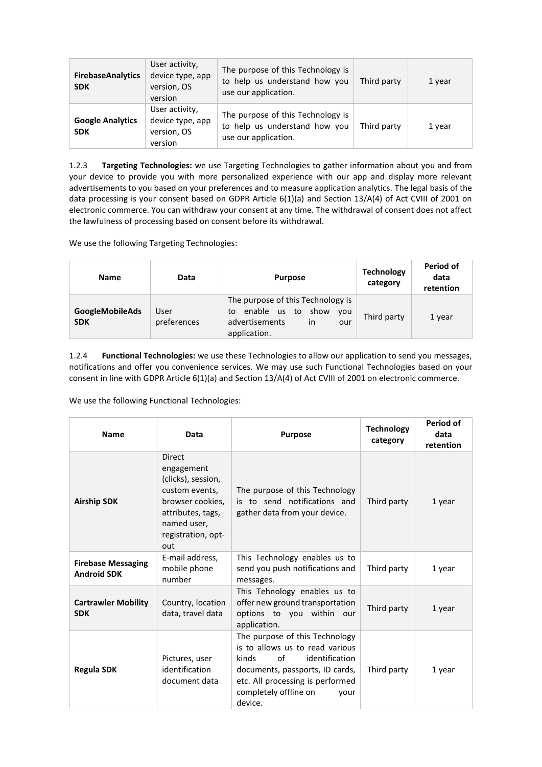| <b>FirebaseAnalytics</b><br><b>SDK</b> | User activity,<br>device type, app<br>version, OS<br>version | The purpose of this Technology is<br>to help us understand how you<br>use our application. | Third party | 1 year |
|----------------------------------------|--------------------------------------------------------------|--------------------------------------------------------------------------------------------|-------------|--------|
| <b>Google Analytics</b><br><b>SDK</b>  | User activity,<br>device type, app<br>version, OS<br>version | The purpose of this Technology is<br>to help us understand how you<br>use our application. | Third party | 1 year |

1.2.3 **Targeting Technologies:** we use Targeting Technologies to gather information about you and from your device to provide you with more personalized experience with our app and display more relevant advertisements to you based on your preferences and to measure application analytics. The legal basis of the data processing is your consent based on GDPR Article 6(1)(a) and Section 13/A(4) of Act CVIII of 2001 on electronic commerce. You can withdraw your consent at any time. The withdrawal of consent does not affect the lawfulness of processing based on consent before its withdrawal.

We use the following Targeting Technologies:

| <b>Name</b>                          | Data                | <b>Purpose</b>                                                                                                        | <b>Technology</b><br>category | Period of<br>data<br>retention |
|--------------------------------------|---------------------|-----------------------------------------------------------------------------------------------------------------------|-------------------------------|--------------------------------|
| <b>GoogleMobileAds</b><br><b>SDK</b> | User<br>preferences | The purpose of this Technology is<br>enable us to<br>show<br>to<br>vou<br>advertisements<br>our<br>in<br>application. | Third party                   | 1 year                         |

1.2.4 **Functional Technologies:** we use these Technologies to allow our application to send you messages, notifications and offer you convenience services. We may use such Functional Technologies based on your consent in line with GDPR Article 6(1)(a) and Section 13/A(4) of Act CVIII of 2001 on electronic commerce.

We use the following Functional Technologies:

| <b>Name</b>                                     | Data                                                                                                                                                     | <b>Purpose</b>                                                                                                                                                                                                        | <b>Technology</b><br>category | Period of<br>data<br>retention |
|-------------------------------------------------|----------------------------------------------------------------------------------------------------------------------------------------------------------|-----------------------------------------------------------------------------------------------------------------------------------------------------------------------------------------------------------------------|-------------------------------|--------------------------------|
| <b>Airship SDK</b>                              | <b>Direct</b><br>engagement<br>(clicks), session,<br>custom events,<br>browser cookies,<br>attributes, tags,<br>named user,<br>registration, opt-<br>out | The purpose of this Technology<br>is to send notifications and<br>gather data from your device.                                                                                                                       | Third party                   | 1 year                         |
| <b>Firebase Messaging</b><br><b>Android SDK</b> | E-mail address,<br>mobile phone<br>number                                                                                                                | This Technology enables us to<br>send you push notifications and<br>messages.                                                                                                                                         | Third party                   | 1 year                         |
| <b>Cartrawler Mobility</b><br><b>SDK</b>        | Country, location<br>data, travel data                                                                                                                   | This Tehnology enables us to<br>offer new ground transportation<br>options to you within our<br>application.                                                                                                          | Third party                   | 1 year                         |
| <b>Regula SDK</b>                               | Pictures, user<br>identification<br>document data                                                                                                        | The purpose of this Technology<br>is to allows us to read various<br>οf<br>identification<br>kinds<br>documents, passports, ID cards,<br>etc. All processing is performed<br>completely offline on<br>vour<br>device. | Third party                   | 1 year                         |